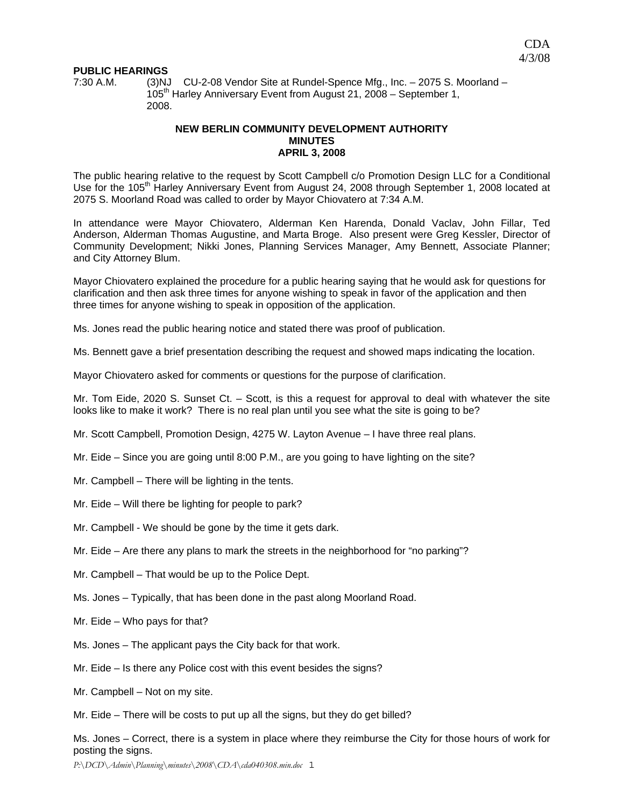## **PUBLIC HEARINGS**

7:30 A.M. (3)NJ CU-2-08 Vendor Site at Rundel-Spence Mfg., Inc. – 2075 S. Moorland – 105<sup>th</sup> Harley Anniversary Event from August 21, 2008 – September 1, 2008.

# **NEW BERLIN COMMUNITY DEVELOPMENT AUTHORITY MINUTES APRIL 3, 2008**

The public hearing relative to the request by Scott Campbell c/o Promotion Design LLC for a Conditional Use for the 105<sup>th</sup> Harley Anniversary Event from August 24, 2008 through September 1, 2008 located at 2075 S. Moorland Road was called to order by Mayor Chiovatero at 7:34 A.M.

In attendance were Mayor Chiovatero, Alderman Ken Harenda, Donald Vaclav, John Fillar, Ted Anderson, Alderman Thomas Augustine, and Marta Broge. Also present were Greg Kessler, Director of Community Development; Nikki Jones, Planning Services Manager, Amy Bennett, Associate Planner; and City Attorney Blum.

Mayor Chiovatero explained the procedure for a public hearing saying that he would ask for questions for clarification and then ask three times for anyone wishing to speak in favor of the application and then three times for anyone wishing to speak in opposition of the application.

Ms. Jones read the public hearing notice and stated there was proof of publication.

Ms. Bennett gave a brief presentation describing the request and showed maps indicating the location.

Mayor Chiovatero asked for comments or questions for the purpose of clarification.

Mr. Tom Eide, 2020 S. Sunset Ct. – Scott, is this a request for approval to deal with whatever the site looks like to make it work? There is no real plan until you see what the site is going to be?

Mr. Scott Campbell, Promotion Design, 4275 W. Layton Avenue – I have three real plans.

Mr. Eide – Since you are going until 8:00 P.M., are you going to have lighting on the site?

- Mr. Campbell There will be lighting in the tents.
- Mr. Eide Will there be lighting for people to park?
- Mr. Campbell We should be gone by the time it gets dark.
- Mr. Eide Are there any plans to mark the streets in the neighborhood for "no parking"?
- Mr. Campbell That would be up to the Police Dept.
- Ms. Jones Typically, that has been done in the past along Moorland Road.
- Mr. Eide Who pays for that?
- Ms. Jones The applicant pays the City back for that work.
- Mr. Eide Is there any Police cost with this event besides the signs?
- Mr. Campbell Not on my site.
- Mr. Eide There will be costs to put up all the signs, but they do get billed?

Ms. Jones – Correct, there is a system in place where they reimburse the City for those hours of work for posting the signs.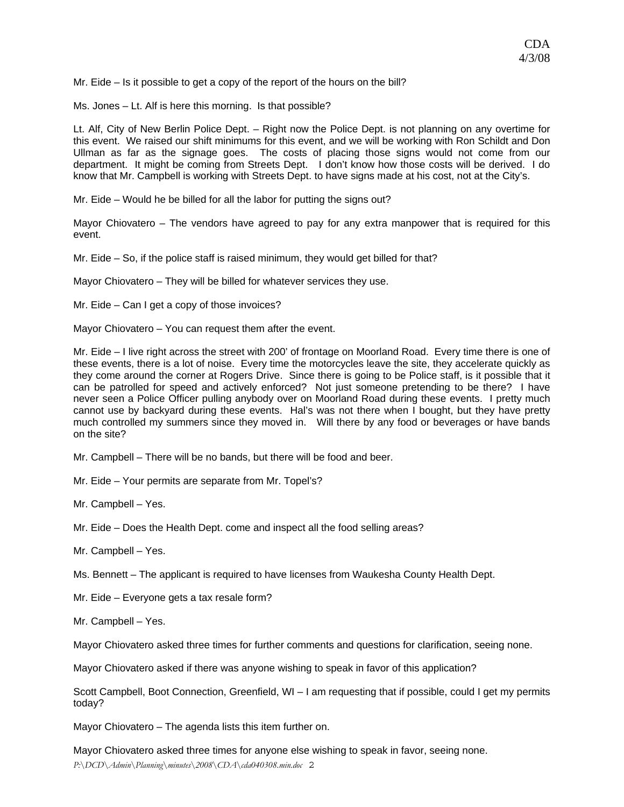Mr. Eide – Is it possible to get a copy of the report of the hours on the bill?

Ms. Jones – Lt. Alf is here this morning. Is that possible?

Lt. Alf, City of New Berlin Police Dept. – Right now the Police Dept. is not planning on any overtime for this event. We raised our shift minimums for this event, and we will be working with Ron Schildt and Don Ullman as far as the signage goes. The costs of placing those signs would not come from our department. It might be coming from Streets Dept. I don't know how those costs will be derived. I do know that Mr. Campbell is working with Streets Dept. to have signs made at his cost, not at the City's.

Mr. Eide – Would he be billed for all the labor for putting the signs out?

Mayor Chiovatero – The vendors have agreed to pay for any extra manpower that is required for this event.

Mr. Eide – So, if the police staff is raised minimum, they would get billed for that?

Mayor Chiovatero – They will be billed for whatever services they use.

Mr. Eide – Can I get a copy of those invoices?

Mayor Chiovatero – You can request them after the event.

Mr. Eide – I live right across the street with 200' of frontage on Moorland Road. Every time there is one of these events, there is a lot of noise. Every time the motorcycles leave the site, they accelerate quickly as they come around the corner at Rogers Drive. Since there is going to be Police staff, is it possible that it can be patrolled for speed and actively enforced? Not just someone pretending to be there? I have never seen a Police Officer pulling anybody over on Moorland Road during these events. I pretty much cannot use by backyard during these events. Hal's was not there when I bought, but they have pretty much controlled my summers since they moved in. Will there by any food or beverages or have bands on the site?

Mr. Campbell – There will be no bands, but there will be food and beer.

Mr. Eide – Your permits are separate from Mr. Topel's?

Mr. Campbell – Yes.

Mr. Eide – Does the Health Dept. come and inspect all the food selling areas?

Mr. Campbell – Yes.

Ms. Bennett – The applicant is required to have licenses from Waukesha County Health Dept.

Mr. Eide – Everyone gets a tax resale form?

Mr. Campbell – Yes.

Mayor Chiovatero asked three times for further comments and questions for clarification, seeing none.

Mayor Chiovatero asked if there was anyone wishing to speak in favor of this application?

Scott Campbell, Boot Connection, Greenfield, WI – I am requesting that if possible, could I get my permits today?

Mayor Chiovatero – The agenda lists this item further on.

Mayor Chiovatero asked three times for anyone else wishing to speak in favor, seeing none.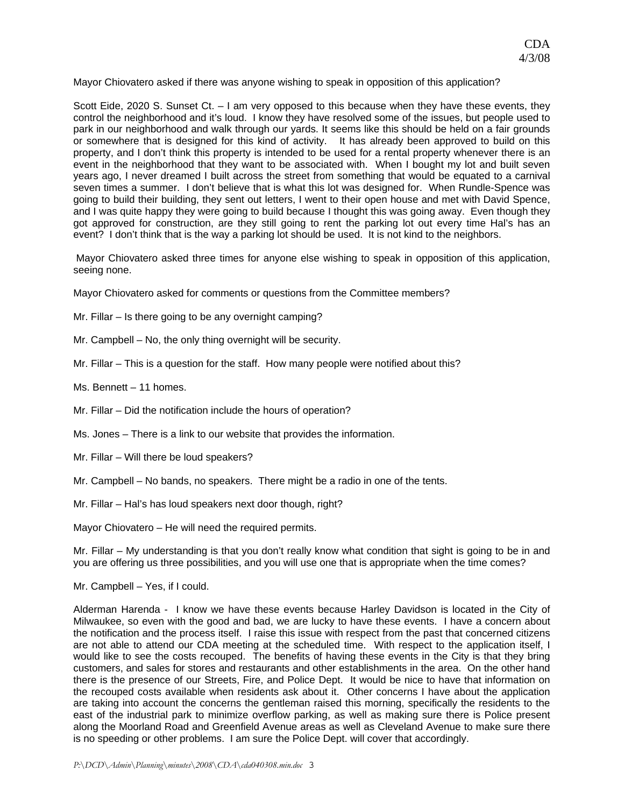Mayor Chiovatero asked if there was anyone wishing to speak in opposition of this application?

Scott Eide, 2020 S. Sunset Ct. – I am very opposed to this because when they have these events, they control the neighborhood and it's loud. I know they have resolved some of the issues, but people used to park in our neighborhood and walk through our yards. It seems like this should be held on a fair grounds or somewhere that is designed for this kind of activity. It has already been approved to build on this property, and I don't think this property is intended to be used for a rental property whenever there is an event in the neighborhood that they want to be associated with. When I bought my lot and built seven years ago, I never dreamed I built across the street from something that would be equated to a carnival seven times a summer. I don't believe that is what this lot was designed for. When Rundle-Spence was going to build their building, they sent out letters, I went to their open house and met with David Spence, and I was quite happy they were going to build because I thought this was going away. Even though they got approved for construction, are they still going to rent the parking lot out every time Hal's has an event? I don't think that is the way a parking lot should be used. It is not kind to the neighbors.

 Mayor Chiovatero asked three times for anyone else wishing to speak in opposition of this application, seeing none.

Mayor Chiovatero asked for comments or questions from the Committee members?

Mr. Fillar – Is there going to be any overnight camping?

- Mr. Campbell No, the only thing overnight will be security.
- Mr. Fillar This is a question for the staff. How many people were notified about this?
- Ms. Bennett 11 homes.
- Mr. Fillar Did the notification include the hours of operation?
- Ms. Jones There is a link to our website that provides the information.
- Mr. Fillar Will there be loud speakers?
- Mr. Campbell No bands, no speakers. There might be a radio in one of the tents.
- Mr. Fillar Hal's has loud speakers next door though, right?

Mayor Chiovatero – He will need the required permits.

Mr. Fillar – My understanding is that you don't really know what condition that sight is going to be in and you are offering us three possibilities, and you will use one that is appropriate when the time comes?

Mr. Campbell – Yes, if I could.

Alderman Harenda - I know we have these events because Harley Davidson is located in the City of Milwaukee, so even with the good and bad, we are lucky to have these events. I have a concern about the notification and the process itself. I raise this issue with respect from the past that concerned citizens are not able to attend our CDA meeting at the scheduled time. With respect to the application itself, I would like to see the costs recouped. The benefits of having these events in the City is that they bring customers, and sales for stores and restaurants and other establishments in the area. On the other hand there is the presence of our Streets, Fire, and Police Dept. It would be nice to have that information on the recouped costs available when residents ask about it. Other concerns I have about the application are taking into account the concerns the gentleman raised this morning, specifically the residents to the east of the industrial park to minimize overflow parking, as well as making sure there is Police present along the Moorland Road and Greenfield Avenue areas as well as Cleveland Avenue to make sure there is no speeding or other problems. I am sure the Police Dept. will cover that accordingly.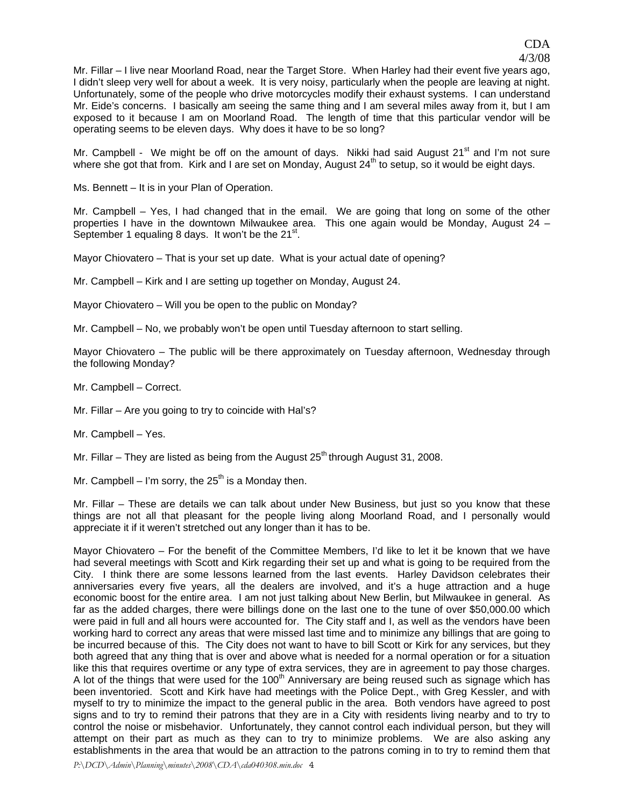Mr. Fillar – I live near Moorland Road, near the Target Store. When Harley had their event five years ago, I didn't sleep very well for about a week. It is very noisy, particularly when the people are leaving at night. Unfortunately, some of the people who drive motorcycles modify their exhaust systems. I can understand Mr. Eide's concerns. I basically am seeing the same thing and I am several miles away from it, but I am exposed to it because I am on Moorland Road. The length of time that this particular vendor will be operating seems to be eleven days. Why does it have to be so long?

Mr. Campbell - We might be off on the amount of days. Nikki had said August  $21<sup>st</sup>$  and I'm not sure where she got that from. Kirk and I are set on Monday, August  $24<sup>th</sup>$  to setup, so it would be eight days.

Ms. Bennett – It is in your Plan of Operation.

Mr. Campbell – Yes, I had changed that in the email. We are going that long on some of the other properties I have in the downtown Milwaukee area. This one again would be Monday, August 24 – September 1 equaling 8 days. It won't be the  $21^{st}$ .

Mayor Chiovatero – That is your set up date. What is your actual date of opening?

Mr. Campbell – Kirk and I are setting up together on Monday, August 24.

Mayor Chiovatero – Will you be open to the public on Monday?

Mr. Campbell – No, we probably won't be open until Tuesday afternoon to start selling.

Mayor Chiovatero – The public will be there approximately on Tuesday afternoon, Wednesday through the following Monday?

Mr. Campbell – Correct.

Mr. Fillar – Are you going to try to coincide with Hal's?

Mr. Campbell – Yes.

Mr. Fillar – They are listed as being from the August  $25<sup>th</sup>$  through August 31, 2008.

Mr. Campbell – I'm sorry, the  $25<sup>th</sup>$  is a Monday then.

Mr. Fillar – These are details we can talk about under New Business, but just so you know that these things are not all that pleasant for the people living along Moorland Road, and I personally would appreciate it if it weren't stretched out any longer than it has to be.

Mayor Chiovatero – For the benefit of the Committee Members, I'd like to let it be known that we have had several meetings with Scott and Kirk regarding their set up and what is going to be required from the City. I think there are some lessons learned from the last events. Harley Davidson celebrates their anniversaries every five years, all the dealers are involved, and it's a huge attraction and a huge economic boost for the entire area. I am not just talking about New Berlin, but Milwaukee in general. As far as the added charges, there were billings done on the last one to the tune of over \$50,000.00 which were paid in full and all hours were accounted for. The City staff and I, as well as the vendors have been working hard to correct any areas that were missed last time and to minimize any billings that are going to be incurred because of this. The City does not want to have to bill Scott or Kirk for any services, but they both agreed that any thing that is over and above what is needed for a normal operation or for a situation like this that requires overtime or any type of extra services, they are in agreement to pay those charges. A lot of the things that were used for the 100<sup>th</sup> Anniversary are being reused such as signage which has been inventoried. Scott and Kirk have had meetings with the Police Dept., with Greg Kessler, and with myself to try to minimize the impact to the general public in the area. Both vendors have agreed to post signs and to try to remind their patrons that they are in a City with residents living nearby and to try to control the noise or misbehavior. Unfortunately, they cannot control each individual person, but they will attempt on their part as much as they can to try to minimize problems. We are also asking any establishments in the area that would be an attraction to the patrons coming in to try to remind them that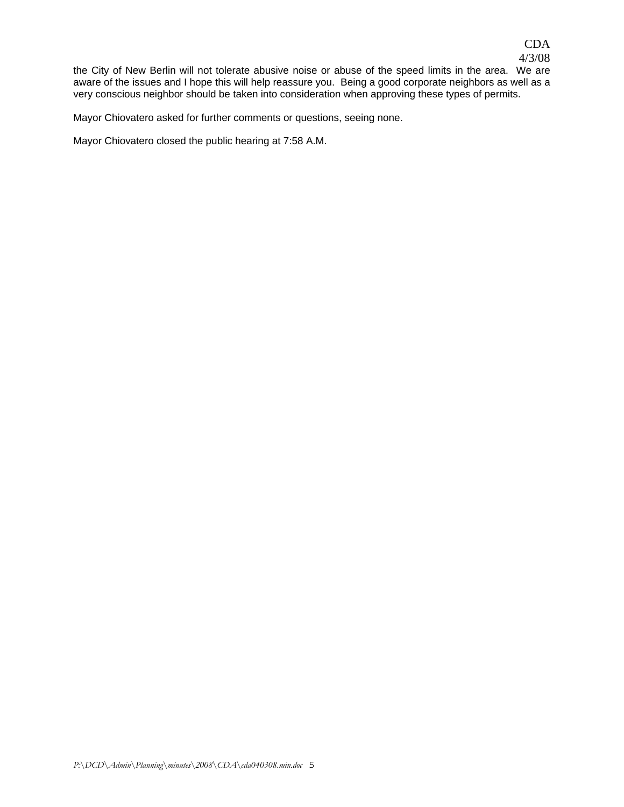the City of New Berlin will not tolerate abusive noise or abuse of the speed limits in the area. We are aware of the issues and I hope this will help reassure you. Being a good corporate neighbors as well as a very conscious neighbor should be taken into consideration when approving these types of permits.

Mayor Chiovatero asked for further comments or questions, seeing none.

Mayor Chiovatero closed the public hearing at 7:58 A.M.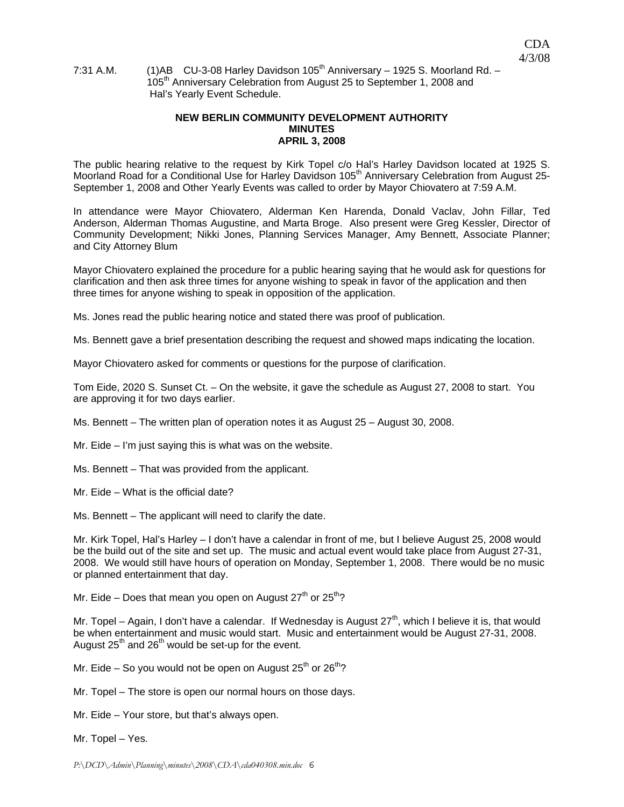# 7:31 A.M.  $(1)$ AB CU-3-08 Harley Davidson 105<sup>th</sup> Anniversary – 1925 S. Moorland Rd. – 105<sup>th</sup> Anniversary Celebration from August 25 to September 1, 2008 and Hal's Yearly Event Schedule.

## **NEW BERLIN COMMUNITY DEVELOPMENT AUTHORITY MINUTES APRIL 3, 2008**

The public hearing relative to the request by Kirk Topel c/o Hal's Harley Davidson located at 1925 S. Moorland Road for a Conditional Use for Harley Davidson 105<sup>th</sup> Anniversary Celebration from August 25-September 1, 2008 and Other Yearly Events was called to order by Mayor Chiovatero at 7:59 A.M.

In attendance were Mayor Chiovatero, Alderman Ken Harenda, Donald Vaclav, John Fillar, Ted Anderson, Alderman Thomas Augustine, and Marta Broge. Also present were Greg Kessler, Director of Community Development; Nikki Jones, Planning Services Manager, Amy Bennett, Associate Planner; and City Attorney Blum

Mayor Chiovatero explained the procedure for a public hearing saying that he would ask for questions for clarification and then ask three times for anyone wishing to speak in favor of the application and then three times for anyone wishing to speak in opposition of the application.

Ms. Jones read the public hearing notice and stated there was proof of publication.

Ms. Bennett gave a brief presentation describing the request and showed maps indicating the location.

Mayor Chiovatero asked for comments or questions for the purpose of clarification.

Tom Eide, 2020 S. Sunset Ct. – On the website, it gave the schedule as August 27, 2008 to start. You are approving it for two days earlier.

Ms. Bennett – The written plan of operation notes it as August 25 – August 30, 2008.

Mr. Eide – I'm just saying this is what was on the website.

Ms. Bennett – That was provided from the applicant.

Mr. Eide – What is the official date?

Ms. Bennett – The applicant will need to clarify the date.

Mr. Kirk Topel, Hal's Harley – I don't have a calendar in front of me, but I believe August 25, 2008 would be the build out of the site and set up. The music and actual event would take place from August 27-31, 2008. We would still have hours of operation on Monday, September 1, 2008. There would be no music or planned entertainment that day.

Mr. Eide – Does that mean you open on August  $27<sup>th</sup>$  or  $25<sup>th</sup>$ ?

Mr. Topel – Again, I don't have a calendar. If Wednesday is August  $27<sup>th</sup>$ , which I believe it is, that would be when entertainment and music would start. Music and entertainment would be August 27-31, 2008. August  $25<sup>th</sup>$  and  $26<sup>th</sup>$  would be set-up for the event.

Mr. Eide – So you would not be open on August  $25<sup>th</sup>$  or  $26<sup>th</sup>$ ?

Mr. Topel – The store is open our normal hours on those days.

Mr. Eide – Your store, but that's always open.

Mr. Topel – Yes.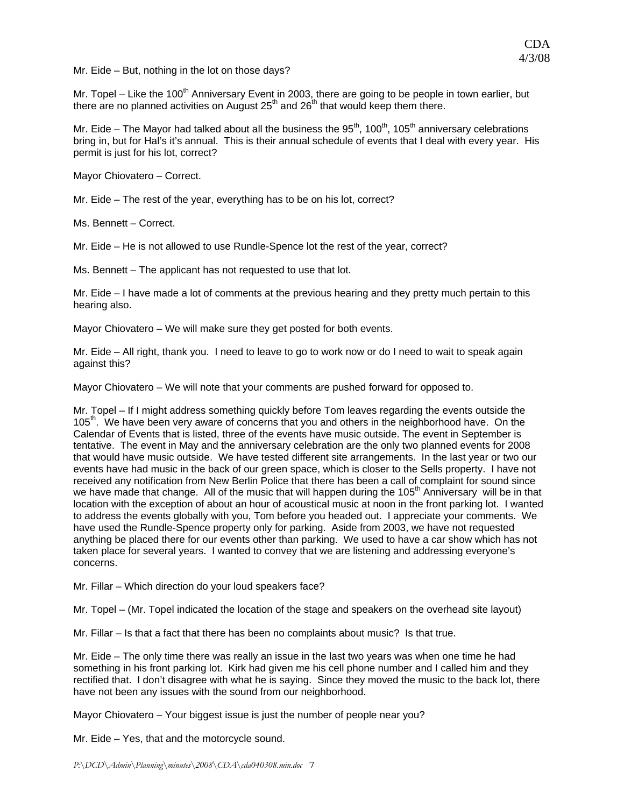Mr. Eide – But, nothing in the lot on those days?

Mr. Topel – Like the 100<sup>th</sup> Anniversary Event in 2003, there are going to be people in town earlier, but there are no planned activities on August  $25<sup>th</sup>$  and  $26<sup>th</sup>$  that would keep them there.

Mr. Eide – The Mayor had talked about all the business the  $95<sup>th</sup>$ , 100<sup>th</sup>, 105<sup>th</sup> anniversary celebrations bring in, but for Hal's it's annual. This is their annual schedule of events that I deal with every year. His permit is just for his lot, correct?

Mayor Chiovatero – Correct.

Mr. Eide – The rest of the year, everything has to be on his lot, correct?

Ms. Bennett – Correct.

Mr. Eide – He is not allowed to use Rundle-Spence lot the rest of the year, correct?

Ms. Bennett – The applicant has not requested to use that lot.

Mr. Eide – I have made a lot of comments at the previous hearing and they pretty much pertain to this hearing also.

Mayor Chiovatero – We will make sure they get posted for both events.

Mr. Eide – All right, thank you. I need to leave to go to work now or do I need to wait to speak again against this?

Mayor Chiovatero – We will note that your comments are pushed forward for opposed to.

Mr. Topel – If I might address something quickly before Tom leaves regarding the events outside the  $105<sup>th</sup>$ . We have been very aware of concerns that you and others in the neighborhood have. On the Calendar of Events that is listed, three of the events have music outside. The event in September is tentative. The event in May and the anniversary celebration are the only two planned events for 2008 that would have music outside. We have tested different site arrangements. In the last year or two our events have had music in the back of our green space, which is closer to the Sells property. I have not received any notification from New Berlin Police that there has been a call of complaint for sound since we have made that change. All of the music that will happen during the  $105<sup>th</sup>$  Anniversary will be in that location with the exception of about an hour of acoustical music at noon in the front parking lot. I wanted to address the events globally with you, Tom before you headed out. I appreciate your comments. We have used the Rundle-Spence property only for parking. Aside from 2003, we have not requested anything be placed there for our events other than parking. We used to have a car show which has not taken place for several years. I wanted to convey that we are listening and addressing everyone's concerns.

Mr. Fillar – Which direction do your loud speakers face?

Mr. Topel – (Mr. Topel indicated the location of the stage and speakers on the overhead site layout)

Mr. Fillar – Is that a fact that there has been no complaints about music? Is that true.

Mr. Eide – The only time there was really an issue in the last two years was when one time he had something in his front parking lot. Kirk had given me his cell phone number and I called him and they rectified that. I don't disagree with what he is saying. Since they moved the music to the back lot, there have not been any issues with the sound from our neighborhood.

Mayor Chiovatero – Your biggest issue is just the number of people near you?

Mr. Eide – Yes, that and the motorcycle sound.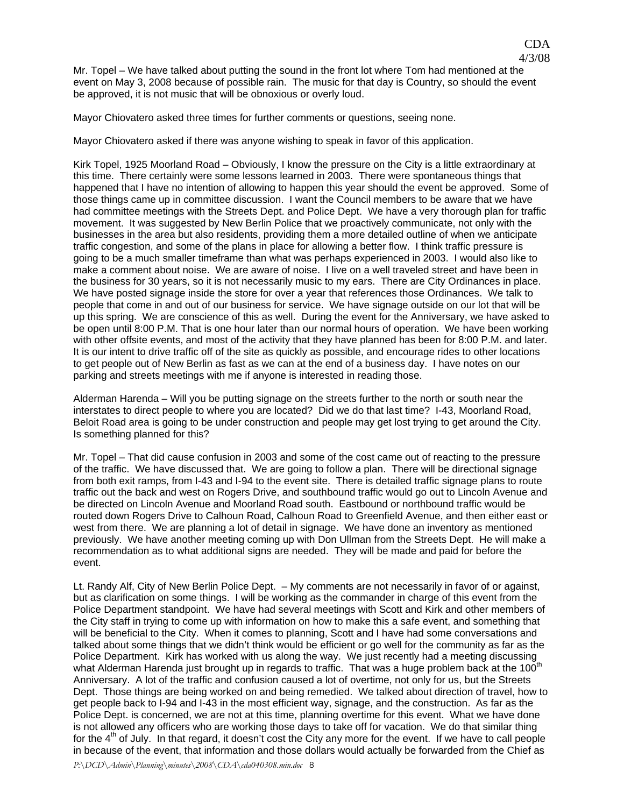CDA

Mayor Chiovatero asked three times for further comments or questions, seeing none.

Mayor Chiovatero asked if there was anyone wishing to speak in favor of this application.

Kirk Topel, 1925 Moorland Road – Obviously, I know the pressure on the City is a little extraordinary at this time. There certainly were some lessons learned in 2003. There were spontaneous things that happened that I have no intention of allowing to happen this year should the event be approved. Some of those things came up in committee discussion. I want the Council members to be aware that we have had committee meetings with the Streets Dept. and Police Dept. We have a very thorough plan for traffic movement. It was suggested by New Berlin Police that we proactively communicate, not only with the businesses in the area but also residents, providing them a more detailed outline of when we anticipate traffic congestion, and some of the plans in place for allowing a better flow. I think traffic pressure is going to be a much smaller timeframe than what was perhaps experienced in 2003. I would also like to make a comment about noise. We are aware of noise. I live on a well traveled street and have been in the business for 30 years, so it is not necessarily music to my ears. There are City Ordinances in place. We have posted signage inside the store for over a year that references those Ordinances. We talk to people that come in and out of our business for service. We have signage outside on our lot that will be up this spring. We are conscience of this as well. During the event for the Anniversary, we have asked to be open until 8:00 P.M. That is one hour later than our normal hours of operation. We have been working with other offsite events, and most of the activity that they have planned has been for 8:00 P.M. and later. It is our intent to drive traffic off of the site as quickly as possible, and encourage rides to other locations to get people out of New Berlin as fast as we can at the end of a business day. I have notes on our parking and streets meetings with me if anyone is interested in reading those.

Alderman Harenda – Will you be putting signage on the streets further to the north or south near the interstates to direct people to where you are located? Did we do that last time? I-43, Moorland Road, Beloit Road area is going to be under construction and people may get lost trying to get around the City. Is something planned for this?

Mr. Topel – That did cause confusion in 2003 and some of the cost came out of reacting to the pressure of the traffic. We have discussed that. We are going to follow a plan. There will be directional signage from both exit ramps, from I-43 and I-94 to the event site. There is detailed traffic signage plans to route traffic out the back and west on Rogers Drive, and southbound traffic would go out to Lincoln Avenue and be directed on Lincoln Avenue and Moorland Road south. Eastbound or northbound traffic would be routed down Rogers Drive to Calhoun Road, Calhoun Road to Greenfield Avenue, and then either east or west from there. We are planning a lot of detail in signage. We have done an inventory as mentioned previously. We have another meeting coming up with Don Ullman from the Streets Dept. He will make a recommendation as to what additional signs are needed. They will be made and paid for before the event.

Lt. Randy Alf, City of New Berlin Police Dept. – My comments are not necessarily in favor of or against, but as clarification on some things. I will be working as the commander in charge of this event from the Police Department standpoint. We have had several meetings with Scott and Kirk and other members of the City staff in trying to come up with information on how to make this a safe event, and something that will be beneficial to the City. When it comes to planning, Scott and I have had some conversations and talked about some things that we didn't think would be efficient or go well for the community as far as the Police Department. Kirk has worked with us along the way. We just recently had a meeting discussing what Alderman Harenda just brought up in regards to traffic. That was a huge problem back at the 100<sup>t</sup> Anniversary. A lot of the traffic and confusion caused a lot of overtime, not only for us, but the Streets Dept. Those things are being worked on and being remedied. We talked about direction of travel, how to get people back to I-94 and I-43 in the most efficient way, signage, and the construction. As far as the Police Dept. is concerned, we are not at this time, planning overtime for this event. What we have done is not allowed any officers who are working those days to take off for vacation. We do that similar thing for the  $4<sup>th</sup>$  of July. In that regard, it doesn't cost the City any more for the event. If we have to call people in because of the event, that information and those dollars would actually be forwarded from the Chief as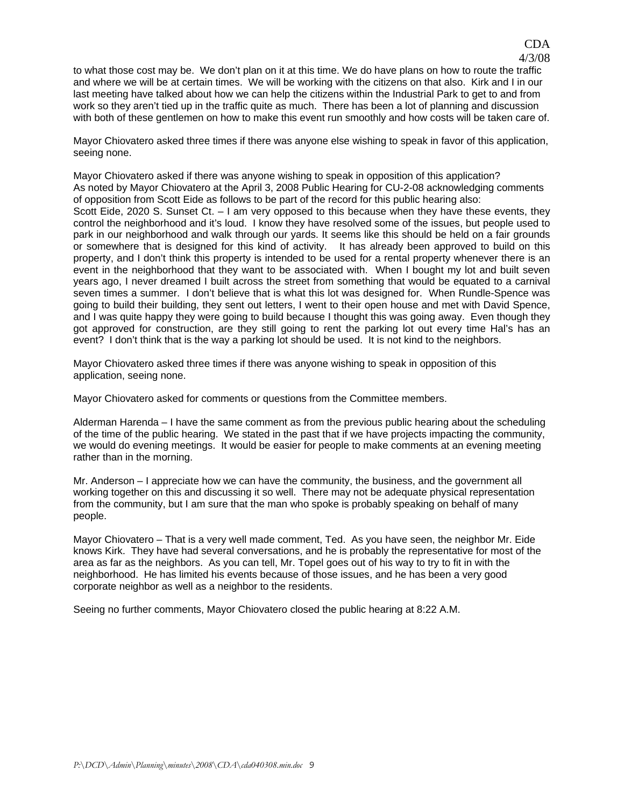to what those cost may be. We don't plan on it at this time. We do have plans on how to route the traffic and where we will be at certain times. We will be working with the citizens on that also. Kirk and I in our last meeting have talked about how we can help the citizens within the Industrial Park to get to and from work so they aren't tied up in the traffic quite as much. There has been a lot of planning and discussion with both of these gentlemen on how to make this event run smoothly and how costs will be taken care of.

Mayor Chiovatero asked three times if there was anyone else wishing to speak in favor of this application, seeing none.

Mayor Chiovatero asked if there was anyone wishing to speak in opposition of this application? As noted by Mayor Chiovatero at the April 3, 2008 Public Hearing for CU-2-08 acknowledging comments of opposition from Scott Eide as follows to be part of the record for this public hearing also: Scott Eide, 2020 S. Sunset Ct. – I am very opposed to this because when they have these events, they control the neighborhood and it's loud. I know they have resolved some of the issues, but people used to park in our neighborhood and walk through our yards. It seems like this should be held on a fair grounds or somewhere that is designed for this kind of activity. It has already been approved to build on this property, and I don't think this property is intended to be used for a rental property whenever there is an event in the neighborhood that they want to be associated with. When I bought my lot and built seven years ago, I never dreamed I built across the street from something that would be equated to a carnival seven times a summer. I don't believe that is what this lot was designed for. When Rundle-Spence was going to build their building, they sent out letters, I went to their open house and met with David Spence, and I was quite happy they were going to build because I thought this was going away. Even though they got approved for construction, are they still going to rent the parking lot out every time Hal's has an event? I don't think that is the way a parking lot should be used. It is not kind to the neighbors.

Mayor Chiovatero asked three times if there was anyone wishing to speak in opposition of this application, seeing none.

Mayor Chiovatero asked for comments or questions from the Committee members.

Alderman Harenda – I have the same comment as from the previous public hearing about the scheduling of the time of the public hearing. We stated in the past that if we have projects impacting the community, we would do evening meetings. It would be easier for people to make comments at an evening meeting rather than in the morning.

Mr. Anderson – I appreciate how we can have the community, the business, and the government all working together on this and discussing it so well. There may not be adequate physical representation from the community, but I am sure that the man who spoke is probably speaking on behalf of many people.

Mayor Chiovatero – That is a very well made comment, Ted. As you have seen, the neighbor Mr. Eide knows Kirk. They have had several conversations, and he is probably the representative for most of the area as far as the neighbors. As you can tell, Mr. Topel goes out of his way to try to fit in with the neighborhood. He has limited his events because of those issues, and he has been a very good corporate neighbor as well as a neighbor to the residents.

Seeing no further comments, Mayor Chiovatero closed the public hearing at 8:22 A.M.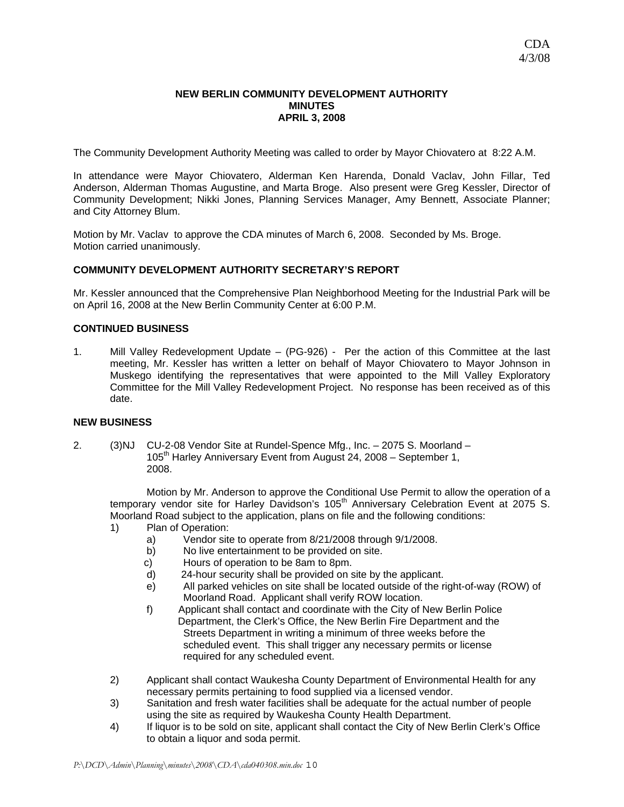#### **NEW BERLIN COMMUNITY DEVELOPMENT AUTHORITY MINUTES APRIL 3, 2008**

The Community Development Authority Meeting was called to order by Mayor Chiovatero at 8:22 A.M.

In attendance were Mayor Chiovatero, Alderman Ken Harenda, Donald Vaclav, John Fillar, Ted Anderson, Alderman Thomas Augustine, and Marta Broge. Also present were Greg Kessler, Director of Community Development; Nikki Jones, Planning Services Manager, Amy Bennett, Associate Planner; and City Attorney Blum.

Motion by Mr. Vaclav to approve the CDA minutes of March 6, 2008. Seconded by Ms. Broge. Motion carried unanimously.

## **COMMUNITY DEVELOPMENT AUTHORITY SECRETARY'S REPORT**

Mr. Kessler announced that the Comprehensive Plan Neighborhood Meeting for the Industrial Park will be on April 16, 2008 at the New Berlin Community Center at 6:00 P.M.

#### **CONTINUED BUSINESS**

1. Mill Valley Redevelopment Update – (PG-926) - Per the action of this Committee at the last meeting, Mr. Kessler has written a letter on behalf of Mayor Chiovatero to Mayor Johnson in Muskego identifying the representatives that were appointed to the Mill Valley Exploratory Committee for the Mill Valley Redevelopment Project. No response has been received as of this date.

## **NEW BUSINESS**

2. (3)NJ CU-2-08 Vendor Site at Rundel-Spence Mfg., Inc. – 2075 S. Moorland – 105<sup>th</sup> Harley Anniversary Event from August 24, 2008 - September 1, 2008.

 Motion by Mr. Anderson to approve the Conditional Use Permit to allow the operation of a temporary vendor site for Harley Davidson's 105<sup>th</sup> Anniversary Celebration Event at 2075 S. Moorland Road subject to the application, plans on file and the following conditions:

- 1) Plan of Operation:
	- a) Vendor site to operate from 8/21/2008 through 9/1/2008.
	- b) No live entertainment to be provided on site.
	- c) Hours of operation to be 8am to 8pm.
	- d) 24-hour security shall be provided on site by the applicant.
	- e) All parked vehicles on site shall be located outside of the right-of-way (ROW) of Moorland Road. Applicant shall verify ROW location.
	- f) Applicant shall contact and coordinate with the City of New Berlin Police Department, the Clerk's Office, the New Berlin Fire Department and the Streets Department in writing a minimum of three weeks before the scheduled event. This shall trigger any necessary permits or license required for any scheduled event.
- 2) Applicant shall contact Waukesha County Department of Environmental Health for any necessary permits pertaining to food supplied via a licensed vendor.
- 3) Sanitation and fresh water facilities shall be adequate for the actual number of people using the site as required by Waukesha County Health Department.
- 4) If liquor is to be sold on site, applicant shall contact the City of New Berlin Clerk's Office to obtain a liquor and soda permit.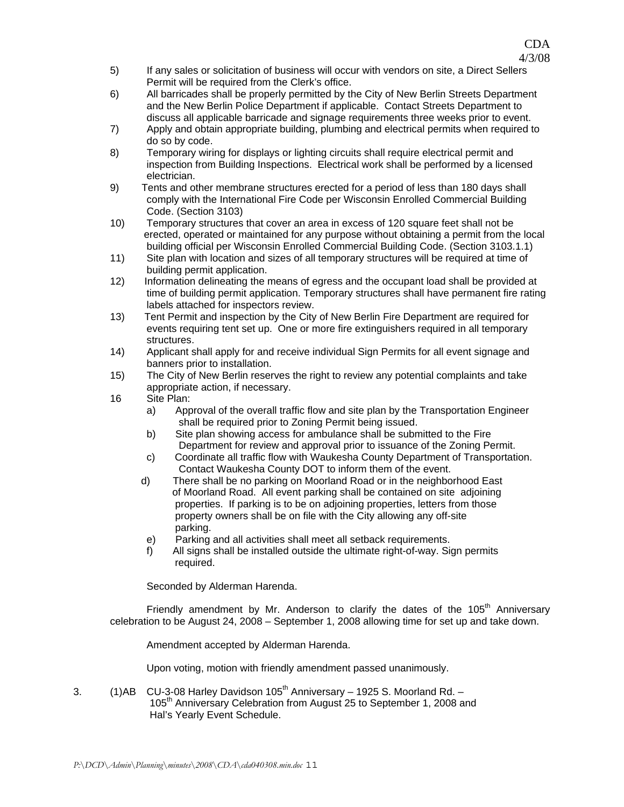- 5) If any sales or solicitation of business will occur with vendors on site, a Direct Sellers Permit will be required from the Clerk's office.
- 6) All barricades shall be properly permitted by the City of New Berlin Streets Department and the New Berlin Police Department if applicable. Contact Streets Department to discuss all applicable barricade and signage requirements three weeks prior to event.
- 7) Apply and obtain appropriate building, plumbing and electrical permits when required to do so by code.
- 8) Temporary wiring for displays or lighting circuits shall require electrical permit and inspection from Building Inspections. Electrical work shall be performed by a licensed electrician.
- 9) Tents and other membrane structures erected for a period of less than 180 days shall comply with the International Fire Code per Wisconsin Enrolled Commercial Building Code. (Section 3103)
- 10) Temporary structures that cover an area in excess of 120 square feet shall not be erected, operated or maintained for any purpose without obtaining a permit from the local building official per Wisconsin Enrolled Commercial Building Code. (Section 3103.1.1)
- 11) Site plan with location and sizes of all temporary structures will be required at time of building permit application.
- 12) Information delineating the means of egress and the occupant load shall be provided at time of building permit application. Temporary structures shall have permanent fire rating labels attached for inspectors review.
- 13) Tent Permit and inspection by the City of New Berlin Fire Department are required for events requiring tent set up. One or more fire extinguishers required in all temporary structures.
- 14) Applicant shall apply for and receive individual Sign Permits for all event signage and banners prior to installation.
- 15) The City of New Berlin reserves the right to review any potential complaints and take appropriate action, if necessary.
- 16 Site Plan:
	- a) Approval of the overall traffic flow and site plan by the Transportation Engineer shall be required prior to Zoning Permit being issued.
	- b) Site plan showing access for ambulance shall be submitted to the Fire Department for review and approval prior to issuance of the Zoning Permit.
	- c) Coordinate all traffic flow with Waukesha County Department of Transportation. Contact Waukesha County DOT to inform them of the event.
	- d) There shall be no parking on Moorland Road or in the neighborhood East of Moorland Road. All event parking shall be contained on site adjoining properties. If parking is to be on adjoining properties, letters from those property owners shall be on file with the City allowing any off-site parking.
	- e) Parking and all activities shall meet all setback requirements.
	- f) All signs shall be installed outside the ultimate right-of-way. Sign permits required.

Seconded by Alderman Harenda.

Friendly amendment by Mr. Anderson to clarify the dates of the  $105<sup>th</sup>$  Anniversary celebration to be August 24, 2008 – September 1, 2008 allowing time for set up and take down.

Amendment accepted by Alderman Harenda.

Upon voting, motion with friendly amendment passed unanimously.

3.  $(1)$ AB CU-3-08 Harley Davidson  $105<sup>th</sup>$  Anniversary – 1925 S. Moorland Rd. – 105<sup>th</sup> Anniversary Celebration from August 25 to September 1, 2008 and Hal's Yearly Event Schedule.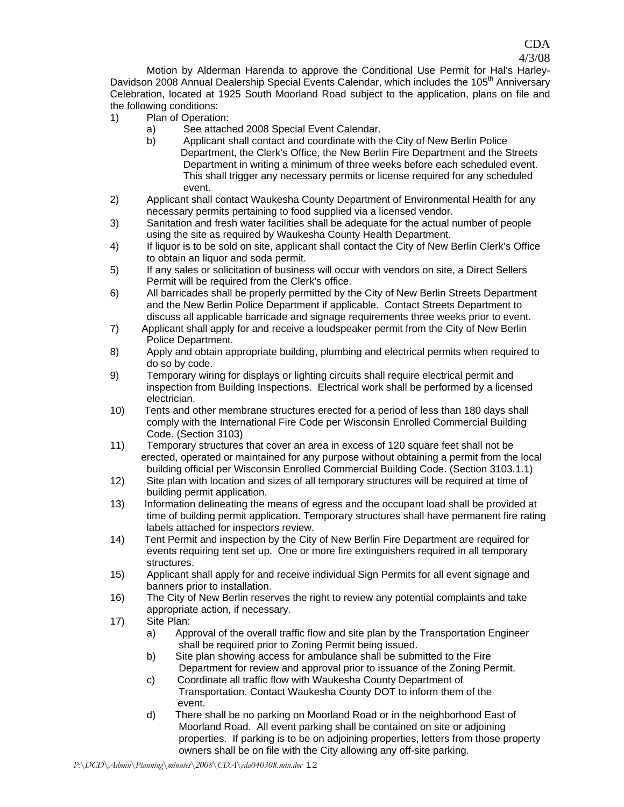Motion by Alderman Harenda to approve the Conditional Use Permit for Hal's Harley-Davidson 2008 Annual Dealership Special Events Calendar, which includes the 105<sup>th</sup> Anniversary Celebration, located at 1925 South Moorland Road subject to the application, plans on file and the following conditions:

CDA 4/3/08

- 1) Plan of Operation:
	- a) See attached 2008 Special Event Calendar.
	- b) Applicant shall contact and coordinate with the City of New Berlin Police Department, the Clerk's Office, the New Berlin Fire Department and the Streets Department in writing a minimum of three weeks before each scheduled event. This shall trigger any necessary permits or license required for any scheduled event.
- 2) Applicant shall contact Waukesha County Department of Environmental Health for any necessary permits pertaining to food supplied via a licensed vendor.
- 3) Sanitation and fresh water facilities shall be adequate for the actual number of people using the site as required by Waukesha County Health Department.
- 4) If liquor is to be sold on site, applicant shall contact the City of New Berlin Clerk's Office to obtain an liquor and soda permit.
- 5) If any sales or solicitation of business will occur with vendors on site, a Direct Sellers Permit will be required from the Clerk's office.
- 6) All barricades shall be properly permitted by the City of New Berlin Streets Department and the New Berlin Police Department if applicable. Contact Streets Department to discuss all applicable barricade and signage requirements three weeks prior to event.
- 7) Applicant shall apply for and receive a loudspeaker permit from the City of New Berlin Police Department.
- 8) Apply and obtain appropriate building, plumbing and electrical permits when required to do so by code.
- 9) Temporary wiring for displays or lighting circuits shall require electrical permit and inspection from Building Inspections. Electrical work shall be performed by a licensed electrician.
- 10) Tents and other membrane structures erected for a period of less than 180 days shall comply with the International Fire Code per Wisconsin Enrolled Commercial Building Code. (Section 3103)
- 11) Temporary structures that cover an area in excess of 120 square feet shall not be erected, operated or maintained for any purpose without obtaining a permit from the local building official per Wisconsin Enrolled Commercial Building Code. (Section 3103.1.1)
- 12) Site plan with location and sizes of all temporary structures will be required at time of building permit application.
- 13) Information delineating the means of egress and the occupant load shall be provided at time of building permit application. Temporary structures shall have permanent fire rating labels attached for inspectors review.
- 14) Tent Permit and inspection by the City of New Berlin Fire Department are required for events requiring tent set up. One or more fire extinguishers required in all temporary structures.
- 15) Applicant shall apply for and receive individual Sign Permits for all event signage and banners prior to installation.
- 16) The City of New Berlin reserves the right to review any potential complaints and take appropriate action, if necessary.
- 17) Site Plan:
	- a) Approval of the overall traffic flow and site plan by the Transportation Engineer shall be required prior to Zoning Permit being issued.
	- b) Site plan showing access for ambulance shall be submitted to the Fire Department for review and approval prior to issuance of the Zoning Permit.
	- c) Coordinate all traffic flow with Waukesha County Department of Transportation. Contact Waukesha County DOT to inform them of the event.
	- d) There shall be no parking on Moorland Road or in the neighborhood East of Moorland Road. All event parking shall be contained on site or adjoining properties. If parking is to be on adjoining properties, letters from those property owners shall be on file with the City allowing any off-site parking.